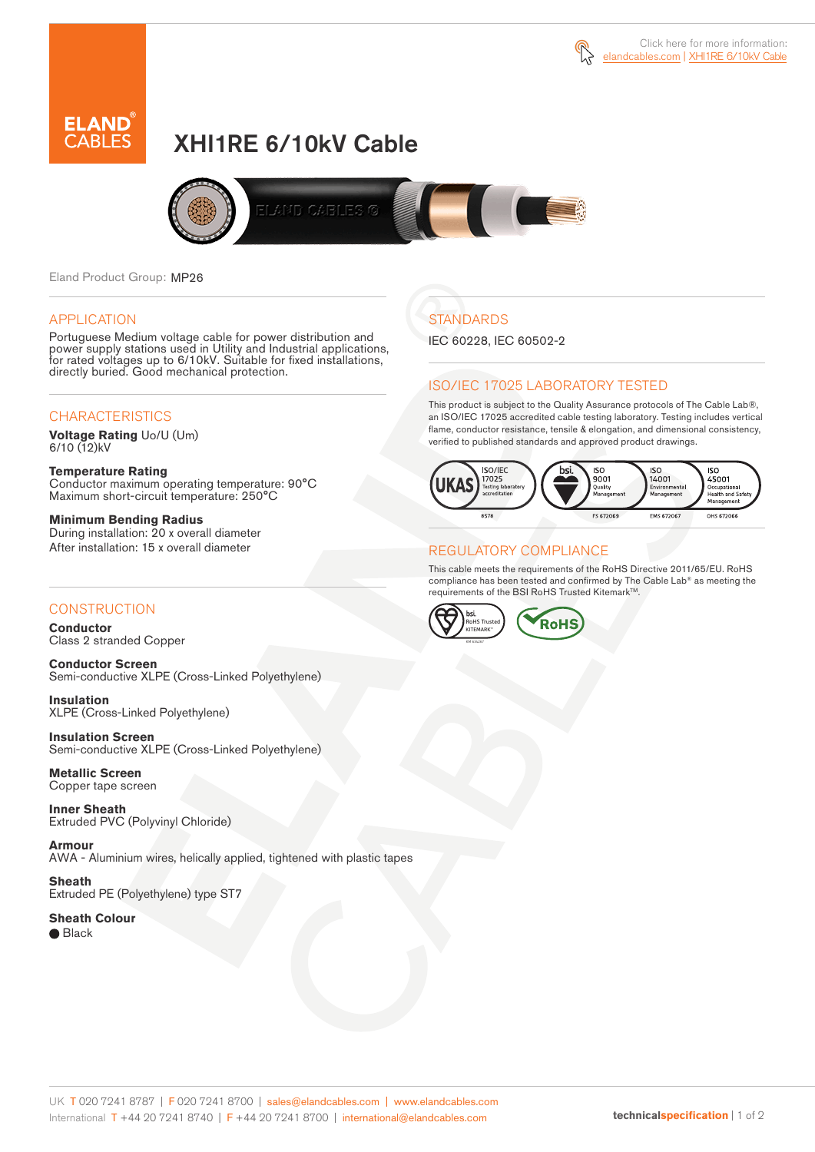



# XHI1RE 6/10kV Cable



Eland Product Group: MP26

#### APPLICATION

Portuguese Medium voltage cable for power distribution and power supply stations used in Utility and Industrial applications, for rated voltages up to 6/10kV. Suitable for fixed installations, directly buried. Good mechanical protection.

### **CHARACTERISTICS**

**Voltage Rating** Uo/U (Um) 6/10 (12)kV

**Temperature Rating** Conductor maximum operating temperature: 90°C Maximum short-circuit temperature: 250°C

**Minimum Bending Radius** During installation: 20 x overall diameter After installation: 15 x overall diameter

### **CONSTRUCTION**

**Conductor**  Class 2 stranded Copper

**Conductor Screen** Semi-conductive XLPE (Cross-Linked Polyethylene)

**Insulation** XLPE (Cross-Linked Polyethylene)

**Insulation Screen** Semi-conductive XLPE (Cross-Linked Polyethylene)

**Metallic Screen**  Copper tape screen

**Inner Sheath** Extruded PVC (Polyvinyl Chloride)

**Armour** AWA - Aluminium wires, helically applied, tightened with plastic tapes

**Sheath** Extruded PE (Polyethylene) type ST7

**Sheath Colour**  ● Black

## **STANDARDS**

IEC 60228, IEC 60502-2

### ISO/IEC 17025 LABORATORY TESTED

This product is subject to the Quality Assurance protocols of The Cable Lab®, an ISO/IEC 17025 accredited cable testing laboratory. Testing includes vertical flame, conductor resistance, tensile & elongation, and dimensional consistency, verified to published standards and approved product drawings.



### REGULATORY COMPLIANCE

This cable meets the requirements of the RoHS Directive 2011/65/EU. RoHS compliance has been tested and confirmed by The Cable Lab® as meeting the requirements of the BSI RoHS Trusted Kitemark™.